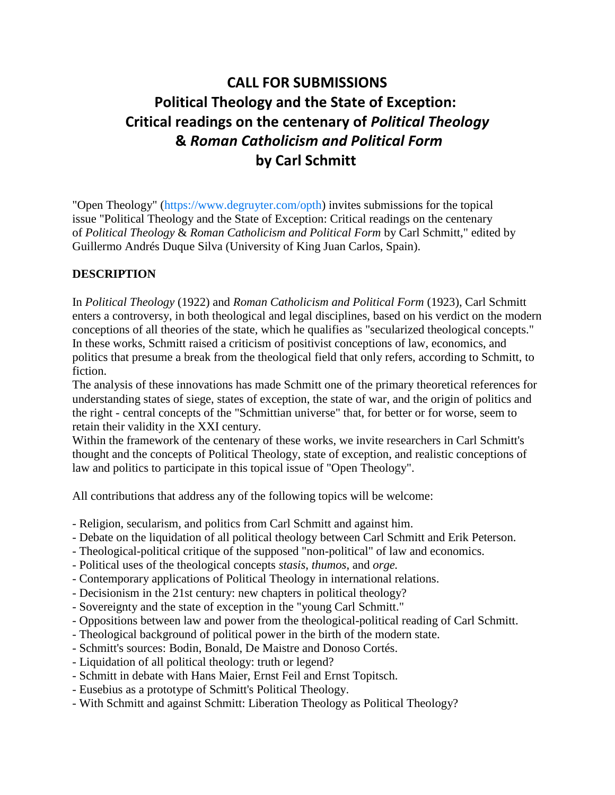## **CALL FOR SUBMISSIONS Political Theology and the State of Exception: Critical readings on the centenary of** *Political Theology* **&** *Roman Catholicism and Political Form* **by Carl Schmitt**

"Open Theology" [\(https://www.degruyter.com/opth\)](https://www.degruyter.com/journal/key/opth/html) invites submissions for the topical issue "Political Theology and the State of Exception: Critical readings on the centenary of *Political Theology* & *Roman Catholicism and Political Form* by Carl Schmitt," edited by Guillermo Andrés Duque Silva (University of King Juan Carlos, Spain).

## **DESCRIPTION**

In *Political Theology* (1922) and *Roman Catholicism and Political Form* (1923), Carl Schmitt enters a controversy, in both theological and legal disciplines, based on his verdict on the modern conceptions of all theories of the state, which he qualifies as "secularized theological concepts." In these works, Schmitt raised a criticism of positivist conceptions of law, economics, and politics that presume a break from the theological field that only refers, according to Schmitt, to fiction.

The analysis of these innovations has made Schmitt one of the primary theoretical references for understanding states of siege, states of exception, the state of war, and the origin of politics and the right - central concepts of the "Schmittian universe" that, for better or for worse, seem to retain their validity in the XXI century.

Within the framework of the centenary of these works, we invite researchers in Carl Schmitt's thought and the concepts of Political Theology, state of exception, and realistic conceptions of law and politics to participate in this topical issue of "Open Theology".

All contributions that address any of the following topics will be welcome:

- Religion, secularism, and politics from Carl Schmitt and against him.
- Debate on the liquidation of all political theology between Carl Schmitt and Erik Peterson.
- Theological-political critique of the supposed "non-political" of law and economics.
- Political uses of the theological concepts *stasis*, *thumos*, and *orge.*
- Contemporary applications of Political Theology in international relations.
- Decisionism in the 21st century: new chapters in political theology?
- Sovereignty and the state of exception in the "young Carl Schmitt."
- Oppositions between law and power from the theological-political reading of Carl Schmitt.
- Theological background of political power in the birth of the modern state.
- Schmitt's sources: Bodin, Bonald, De Maistre and Donoso Cortés.
- Liquidation of all political theology: truth or legend?
- Schmitt in debate with Hans Maier, Ernst Feil and Ernst Topitsch.
- Eusebius as a prototype of Schmitt's Political Theology.
- With Schmitt and against Schmitt: Liberation Theology as Political Theology?